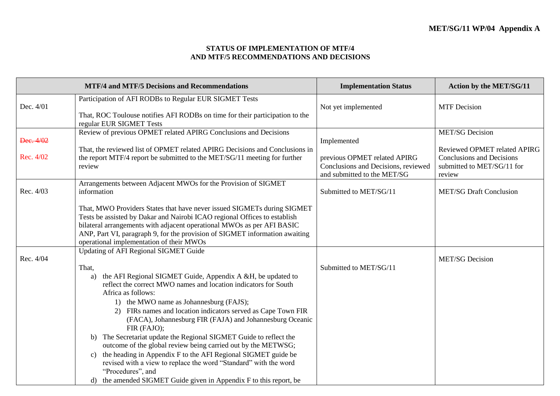#### **STATUS OF IMPLEMENTATION OF MTF/4 AND MTF/5 RECOMMENDATIONS AND DECISIONS**

|                        | <b>MTF/4 and MTF/5 Decisions and Recommendations</b>                                                                                                                                                                                                                                                                                                                                                                                                                                                                                                                                                                                                                                                                                                                                                 | <b>Implementation Status</b>                                                                                      | <b>Action by the MET/SG/11</b>                                                                                                     |
|------------------------|------------------------------------------------------------------------------------------------------------------------------------------------------------------------------------------------------------------------------------------------------------------------------------------------------------------------------------------------------------------------------------------------------------------------------------------------------------------------------------------------------------------------------------------------------------------------------------------------------------------------------------------------------------------------------------------------------------------------------------------------------------------------------------------------------|-------------------------------------------------------------------------------------------------------------------|------------------------------------------------------------------------------------------------------------------------------------|
| Dec. 4/01              | Participation of AFI RODBs to Regular EUR SIGMET Tests<br>That, ROC Toulouse notifies AFI RODBs on time for their participation to the<br>regular EUR SIGMET Tests                                                                                                                                                                                                                                                                                                                                                                                                                                                                                                                                                                                                                                   | Not yet implemented                                                                                               | <b>MTF</b> Decision                                                                                                                |
| Dec. 4/02<br>Rec. 4/02 | Review of previous OPMET related APIRG Conclusions and Decisions<br>That, the reviewed list of OPMET related APIRG Decisions and Conclusions in<br>the report MTF/4 report be submitted to the MET/SG/11 meeting for further<br>review                                                                                                                                                                                                                                                                                                                                                                                                                                                                                                                                                               | Implemented<br>previous OPMET related APIRG<br>Conclusions and Decisions, reviewed<br>and submitted to the MET/SG | <b>MET/SG</b> Decision<br>Reviewed OPMET related APIRG<br><b>Conclusions and Decisions</b><br>submitted to MET/SG/11 for<br>review |
| Rec. 4/03              | Arrangements between Adjacent MWOs for the Provision of SIGMET<br>information<br>That, MWO Providers States that have never issued SIGMETs during SIGMET<br>Tests be assisted by Dakar and Nairobi ICAO regional Offices to establish<br>bilateral arrangements with adjacent operational MWOs as per AFI BASIC<br>ANP, Part VI, paragraph 9, for the provision of SIGMET information awaiting<br>operational implementation of their MWOs                                                                                                                                                                                                                                                                                                                                                           | Submitted to MET/SG/11                                                                                            | <b>MET/SG Draft Conclusion</b>                                                                                                     |
| Rec. 4/04              | <b>Updating of AFI Regional SIGMET Guide</b><br>That,<br>the AFI Regional SIGMET Guide, Appendix A &H, be updated to<br>a)<br>reflect the correct MWO names and location indicators for South<br>Africa as follows:<br>1) the MWO name as Johannesburg (FAJS);<br>2) FIRs names and location indicators served as Cape Town FIR<br>(FACA), Johannesburg FIR (FAJA) and Johannesburg Oceanic<br>FIR (FAJO);<br>b) The Secretariat update the Regional SIGMET Guide to reflect the<br>outcome of the global review being carried out by the METWSG;<br>the heading in Appendix F to the AFI Regional SIGMET guide be<br>$\mathcal{C}$ )<br>revised with a view to replace the word "Standard" with the word<br>"Procedures", and<br>d) the amended SIGMET Guide given in Appendix F to this report, be | Submitted to MET/SG/11                                                                                            | <b>MET/SG Decision</b>                                                                                                             |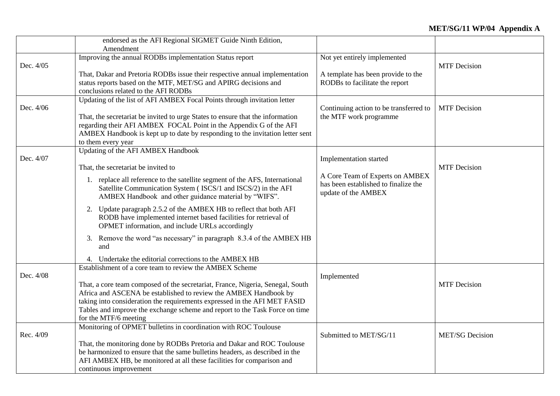|           | endorsed as the AFI Regional SIGMET Guide Ninth Edition,                                                                                  |                                        |                        |
|-----------|-------------------------------------------------------------------------------------------------------------------------------------------|----------------------------------------|------------------------|
|           | Amendment                                                                                                                                 |                                        |                        |
|           | Improving the annual RODBs implementation Status report                                                                                   | Not yet entirely implemented           |                        |
| Dec. 4/05 |                                                                                                                                           |                                        | <b>MTF</b> Decision    |
|           | That, Dakar and Pretoria RODBs issue their respective annual implementation                                                               | A template has been provide to the     |                        |
|           | status reports based on the MTF, MET/SG and APIRG decisions and                                                                           | RODBs to facilitate the report         |                        |
|           | conclusions related to the AFI RODBs                                                                                                      |                                        |                        |
|           | Updating of the list of AFI AMBEX Focal Points through invitation letter                                                                  |                                        |                        |
| Dec. 4/06 |                                                                                                                                           | Continuing action to be transferred to | <b>MTF</b> Decision    |
|           | That, the secretariat be invited to urge States to ensure that the information                                                            | the MTF work programme                 |                        |
|           | regarding their AFI AMBEX FOCAL Point in the Appendix G of the AFI                                                                        |                                        |                        |
|           | AMBEX Handbook is kept up to date by responding to the invitation letter sent                                                             |                                        |                        |
|           | to them every year                                                                                                                        |                                        |                        |
|           | Updating of the AFI AMBEX Handbook                                                                                                        |                                        |                        |
| Dec. 4/07 |                                                                                                                                           | Implementation started                 |                        |
|           | That, the secretariat be invited to                                                                                                       |                                        | <b>MTF</b> Decision    |
|           | 1. replace all reference to the satellite segment of the AFS, International                                                               | A Core Team of Experts on AMBEX        |                        |
|           | Satellite Communication System (ISCS/1 and ISCS/2) in the AFI                                                                             | has been established to finalize the   |                        |
|           | AMBEX Handbook and other guidance material by "WIFS".                                                                                     | update of the AMBEX                    |                        |
|           |                                                                                                                                           |                                        |                        |
|           | Update paragraph 2.5.2 of the AMBEX HB to reflect that both AFI<br>2.<br>RODB have implemented internet based facilities for retrieval of |                                        |                        |
|           | OPMET information, and include URLs accordingly                                                                                           |                                        |                        |
|           |                                                                                                                                           |                                        |                        |
|           | 3. Remove the word "as necessary" in paragraph 8.3.4 of the AMBEX HB                                                                      |                                        |                        |
|           | and                                                                                                                                       |                                        |                        |
|           | 4. Undertake the editorial corrections to the AMBEX HB                                                                                    |                                        |                        |
|           | Establishment of a core team to review the AMBEX Scheme                                                                                   |                                        |                        |
| Dec. 4/08 |                                                                                                                                           | Implemented                            |                        |
|           | That, a core team composed of the secretariat, France, Nigeria, Senegal, South                                                            |                                        | <b>MTF</b> Decision    |
|           | Africa and ASCENA be established to review the AMBEX Handbook by                                                                          |                                        |                        |
|           | taking into consideration the requirements expressed in the AFI MET FASID                                                                 |                                        |                        |
|           | Tables and improve the exchange scheme and report to the Task Force on time                                                               |                                        |                        |
|           | for the MTF/6 meeting                                                                                                                     |                                        |                        |
|           | Monitoring of OPMET bulletins in coordination with ROC Toulouse                                                                           |                                        |                        |
| Rec. 4/09 |                                                                                                                                           | Submitted to MET/SG/11                 | <b>MET/SG Decision</b> |
|           | That, the monitoring done by RODBs Pretoria and Dakar and ROC Toulouse                                                                    |                                        |                        |
|           | be harmonized to ensure that the same bulletins headers, as described in the                                                              |                                        |                        |
|           | AFI AMBEX HB, be monitored at all these facilities for comparison and                                                                     |                                        |                        |
|           | continuous improvement                                                                                                                    |                                        |                        |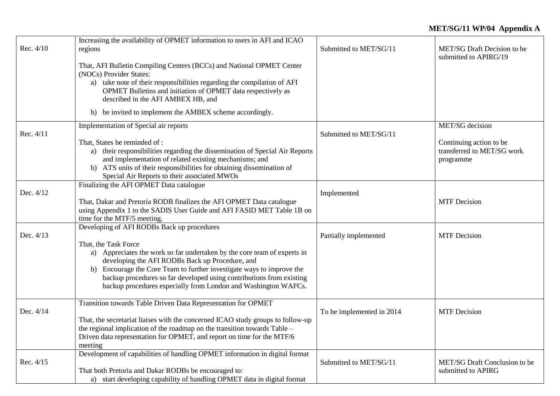| Rec. 4/10 | Increasing the availability of OPMET information to users in AFI and ICAO<br>regions                                                                                                                                                                                                                                                                                   | Submitted to MET/SG/11    | MET/SG Draft Decision to be<br>submitted to APIRG/19               |
|-----------|------------------------------------------------------------------------------------------------------------------------------------------------------------------------------------------------------------------------------------------------------------------------------------------------------------------------------------------------------------------------|---------------------------|--------------------------------------------------------------------|
|           | That, AFI Bulletin Compiling Centers (BCCs) and National OPMET Center<br>(NOCs) Provider States:                                                                                                                                                                                                                                                                       |                           |                                                                    |
|           | a) take note of their responsibilities regarding the compilation of AFI<br>OPMET Bulletins and initiation of OPMET data respectively as                                                                                                                                                                                                                                |                           |                                                                    |
|           | described in the AFI AMBEX HB, and<br>b) be invited to implement the AMBEX scheme accordingly.                                                                                                                                                                                                                                                                         |                           |                                                                    |
| Rec. 4/11 | Implementation of Special air reports                                                                                                                                                                                                                                                                                                                                  | Submitted to MET/SG/11    | MET/SG decision                                                    |
|           | That, States be reminded of:<br>a) their responsibilities regarding the dissemination of Special Air Reports<br>and implementation of related existing mechanisms; and<br>b) ATS units of their responsibilities for obtaining dissemination of<br>Special Air Reports to their associated MWOs                                                                        |                           | Continuing action to be<br>transferred to MET/SG work<br>programme |
| Dec. 4/12 | Finalizing the AFI OPMET Data catalogue                                                                                                                                                                                                                                                                                                                                | Implemented               |                                                                    |
|           | That, Dakar and Pretoria RODB finalizes the AFI OPMET Data catalogue<br>using Appendix 1 to the SADIS User Guide and AFI FASID MET Table 1B on<br>time for the MTF/5 meeting.                                                                                                                                                                                          |                           | <b>MTF</b> Decision                                                |
| Dec. 4/13 | Developing of AFI RODBs Back up procedures                                                                                                                                                                                                                                                                                                                             | Partially implemented     | <b>MTF</b> Decision                                                |
|           | That, the Task Force<br>a) Appreciates the work so far undertaken by the core team of experts in<br>developing the AFI RODBs Back up Procedure, and<br>b) Encourage the Core Team to further investigate ways to improve the<br>backup procedures so far developed using contributions from existing<br>backup procedures especially from London and Washington WAFCs. |                           |                                                                    |
| Dec. 4/14 | Transition towards Table Driven Data Representation for OPMET<br>That, the secretariat liaises with the concerned ICAO study groups to follow-up<br>the regional implication of the roadmap on the transition towards Table -<br>Driven data representation for OPMET, and report on time for the MTF/6<br>meeting                                                     | To be implemented in 2014 | <b>MTF</b> Decision                                                |
| Rec. 4/15 | Development of capabilities of handling OPMET information in digital format<br>That both Pretoria and Dakar RODBs be encouraged to:<br>a) start developing capability of handling OPMET data in digital format                                                                                                                                                         | Submitted to MET/SG/11    | MET/SG Draft Conclusion to be<br>submitted to APIRG                |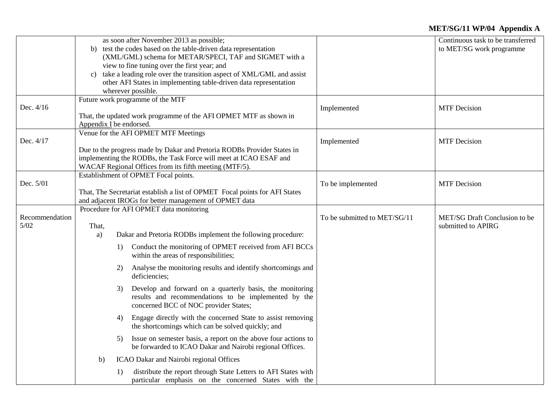|                          |                         | as soon after November 2013 as possible;<br>b) test the codes based on the table-driven data representation<br>(XML/GML) schema for METAR/SPECI, TAF and SIGMET with a<br>view to fine tuning over the first year; and<br>c) take a leading role over the transition aspect of XML/GML and assist<br>other AFI States in implementing table-driven data representation<br>wherever possible.                                                                                                                                                                                                                                                                                                                                                                                                                                                                                                                       |                              | Continuous task to be transferred<br>to MET/SG work programme |
|--------------------------|-------------------------|--------------------------------------------------------------------------------------------------------------------------------------------------------------------------------------------------------------------------------------------------------------------------------------------------------------------------------------------------------------------------------------------------------------------------------------------------------------------------------------------------------------------------------------------------------------------------------------------------------------------------------------------------------------------------------------------------------------------------------------------------------------------------------------------------------------------------------------------------------------------------------------------------------------------|------------------------------|---------------------------------------------------------------|
| Dec. 4/16                | Appendix I be endorsed. | Future work programme of the MTF<br>That, the updated work programme of the AFI OPMET MTF as shown in                                                                                                                                                                                                                                                                                                                                                                                                                                                                                                                                                                                                                                                                                                                                                                                                              | Implemented                  | <b>MTF</b> Decision                                           |
| Dec. 4/17                |                         | Venue for the AFI OPMET MTF Meetings<br>Due to the progress made by Dakar and Pretoria RODBs Provider States in<br>implementing the RODBs, the Task Force will meet at ICAO ESAF and<br>WACAF Regional Offices from its fifth meeting (MTF/5).                                                                                                                                                                                                                                                                                                                                                                                                                                                                                                                                                                                                                                                                     | Implemented                  | <b>MTF</b> Decision                                           |
| Dec. 5/01                |                         | Establishment of OPMET Focal points.<br>That, The Secretariat establish a list of OPMET Focal points for AFI States<br>and adjacent IROGs for better management of OPMET data                                                                                                                                                                                                                                                                                                                                                                                                                                                                                                                                                                                                                                                                                                                                      | To be implemented            | <b>MTF</b> Decision                                           |
| Recommendation<br>$5/02$ | That,<br>a)<br>b)       | Procedure for AFI OPMET data monitoring<br>Dakar and Pretoria RODBs implement the following procedure:<br>Conduct the monitoring of OPMET received from AFI BCCs<br>1)<br>within the areas of responsibilities;<br>Analyse the monitoring results and identify shortcomings and<br>2)<br>deficiencies;<br>Develop and forward on a quarterly basis, the monitoring<br>3)<br>results and recommendations to be implemented by the<br>concerned BCC of NOC provider States;<br>Engage directly with the concerned State to assist removing<br>4)<br>the shortcomings which can be solved quickly; and<br>Issue on semester basis, a report on the above four actions to<br>5)<br>be forwarded to ICAO Dakar and Nairobi regional Offices.<br>ICAO Dakar and Nairobi regional Offices<br>distribute the report through State Letters to AFI States with<br>1)<br>particular emphasis on the concerned States with the | To be submitted to MET/SG/11 | MET/SG Draft Conclusion to be<br>submitted to APIRG           |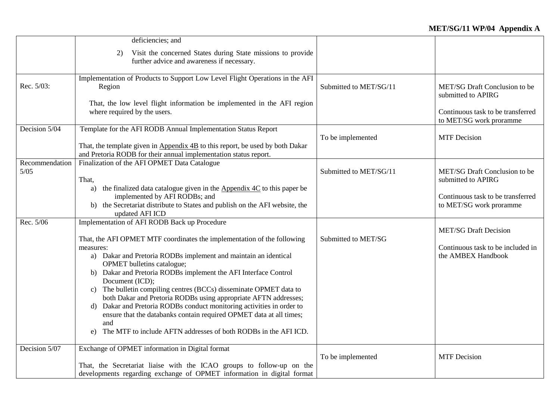|                          | deficiencies; and                                                                                                                                                                                                                                                                                                                                                                                                                                                                                                                                                                                                                                                                                       |                        |                                                                                                                     |
|--------------------------|---------------------------------------------------------------------------------------------------------------------------------------------------------------------------------------------------------------------------------------------------------------------------------------------------------------------------------------------------------------------------------------------------------------------------------------------------------------------------------------------------------------------------------------------------------------------------------------------------------------------------------------------------------------------------------------------------------|------------------------|---------------------------------------------------------------------------------------------------------------------|
|                          | Visit the concerned States during State missions to provide<br>2)<br>further advice and awareness if necessary.                                                                                                                                                                                                                                                                                                                                                                                                                                                                                                                                                                                         |                        |                                                                                                                     |
| Rec. 5/03:               | Implementation of Products to Support Low Level Flight Operations in the AFI<br>Region<br>That, the low level flight information be implemented in the AFI region<br>where required by the users.                                                                                                                                                                                                                                                                                                                                                                                                                                                                                                       | Submitted to MET/SG/11 | MET/SG Draft Conclusion to be<br>submitted to APIRG<br>Continuous task to be transferred<br>to MET/SG work proramme |
| Decision 5/04            | Template for the AFI RODB Annual Implementation Status Report<br>That, the template given in $\Delta$ ppendix $4B$ to this report, be used by both Dakar<br>and Pretoria RODB for their annual implementation status report.                                                                                                                                                                                                                                                                                                                                                                                                                                                                            | To be implemented      | <b>MTF</b> Decision                                                                                                 |
| Recommendation<br>$5/05$ | Finalization of the AFI OPMET Data Catalogue<br>That,<br>a) the finalized data catalogue given in the $\Delta$ ppendix $4C$ to this paper be<br>implemented by AFI RODBs; and<br>b) the Secretariat distribute to States and publish on the AFI website, the<br>updated AFI ICD                                                                                                                                                                                                                                                                                                                                                                                                                         | Submitted to MET/SG/11 | MET/SG Draft Conclusion to be<br>submitted to APIRG<br>Continuous task to be transferred<br>to MET/SG work proramme |
| Rec. 5/06                | Implementation of AFI RODB Back up Procedure<br>That, the AFI OPMET MTF coordinates the implementation of the following<br>measures:<br>a) Dakar and Pretoria RODBs implement and maintain an identical<br>OPMET bulletins catalogue;<br>b) Dakar and Pretoria RODBs implement the AFI Interface Control<br>Document (ICD);<br>c) The bulletin compiling centres (BCCs) disseminate OPMET data to<br>both Dakar and Pretoria RODBs using appropriate AFTN addresses;<br>Dakar and Pretoria RODBs conduct monitoring activities in order to<br>d)<br>ensure that the databanks contain required OPMET data at all times;<br>and<br>The MTF to include AFTN addresses of both RODBs in the AFI ICD.<br>e) | Submitted to MET/SG    | <b>MET/SG Draft Decision</b><br>Continuous task to be included in<br>the AMBEX Handbook                             |
| Decision 5/07            | Exchange of OPMET information in Digital format<br>That, the Secretariat liaise with the ICAO groups to follow-up on the<br>developments regarding exchange of OPMET information in digital format                                                                                                                                                                                                                                                                                                                                                                                                                                                                                                      | To be implemented      | <b>MTF</b> Decision                                                                                                 |